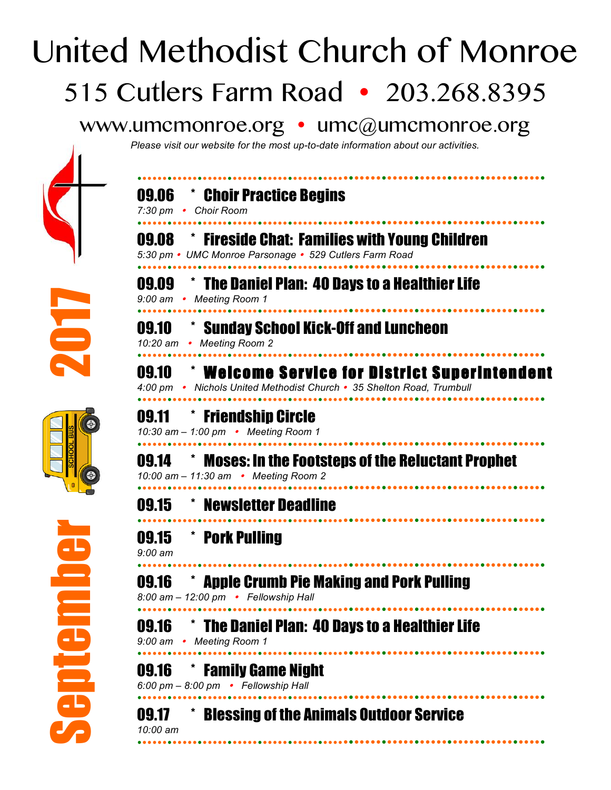## United Methodist Church of Monroe 515 Cutlers Farm Road • 203.268.8395

## www.umcmonroe.org • umc@umcmonroe.org

*Please visit our website for the most up-to-date information about our activities.*









| 09.06<br>$7:30 \text{ pm}$ • | <b>Theoric Practice Begins</b><br><b>Choir Room</b>                                                                            |
|------------------------------|--------------------------------------------------------------------------------------------------------------------------------|
| 09.08                        | <b>The Fireside Chat: Families with Young Children</b><br>5:30 pm • UMC Monroe Parsonage • 529 Cutlers Farm Road               |
| 09.09                        | <b>The Daniel Plan: 40 Days to a Healthier Life</b><br>9:00 am • Meeting Room 1                                                |
| 09.10                        | * Sunday School Kick-Off and Luncheon<br>10:20 am • Meeting Room 2                                                             |
| 09.10                        | <b>EXAMPLE OF SERVICE FOR DISTRICT Superintendent</b><br>4:00 pm • Nichols United Methodist Church • 35 Shelton Road, Trumbull |
|                              | 09.11 * Friendship Circle<br>10:30 am - 1:00 pm • Meeting Room 1                                                               |
| 09.14                        | <b>Moses: In the Footsteps of the Reluctant Prophet</b><br>10:00 am - 11:30 am • Meeting Room 2                                |
| 09.15                        | <b>EXAMPLE THE MENSION TEAM</b>                                                                                                |
| 09.15<br>$9:00$ am           | * Pork Pulling                                                                                                                 |
| 09.16                        | <b>Apple Crumb Pie Making and Pork Pulling</b><br>8:00 am - 12:00 pm • Fellowship Hall                                         |
| 09.16<br>9:00 am $\cdot$     | The Daniel Plan: 40 Days to a Healthier Life<br><b>Meeting Room 1</b>                                                          |
| 09.16                        | <b>Family Game Night</b><br>6:00 pm - 8:00 pm • Fellowship Hall                                                                |
| 09.17<br>10:00 am            | <b>Blessing of the Animals Outdoor Service</b>                                                                                 |
|                              |                                                                                                                                |